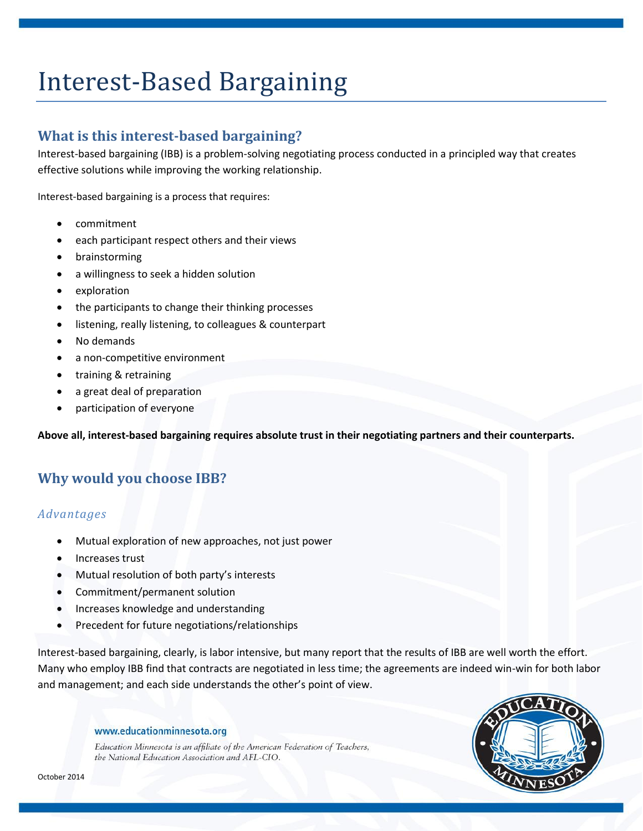# Interest-Based Bargaining

## **What is this interest-based bargaining?**

Interest-based bargaining (IBB) is a problem-solving negotiating process conducted in a principled way that creates effective solutions while improving the working relationship.

Interest-based bargaining is a process that requires:

- commitment
- each participant respect others and their views
- brainstorming
- a willingness to seek a hidden solution
- exploration
- the participants to change their thinking processes
- listening, really listening, to colleagues & counterpart
- No demands
- a non-competitive environment
- training & retraining
- a great deal of preparation
- participation of everyone

**Above all, interest-based bargaining requires absolute trust in their negotiating partners and their counterparts.** 

## **Why would you choose IBB?**

#### *Advantages*

- Mutual exploration of new approaches, not just power
- Increases trust
- Mutual resolution of both party's interests
- Commitment/permanent solution
- Increases knowledge and understanding
- Precedent for future negotiations/relationships

Interest-based bargaining, clearly, is labor intensive, but many report that the results of IBB are well worth the effort. Many who employ IBB find that contracts are negotiated in less time; the agreements are indeed win-win for both labor and management; and each side understands the other's point of view.

#### www.educationminnesota.org

Education Minnesota is an affiliate of the American Federation of Teachers, the National Education Association and AFL-CIO.

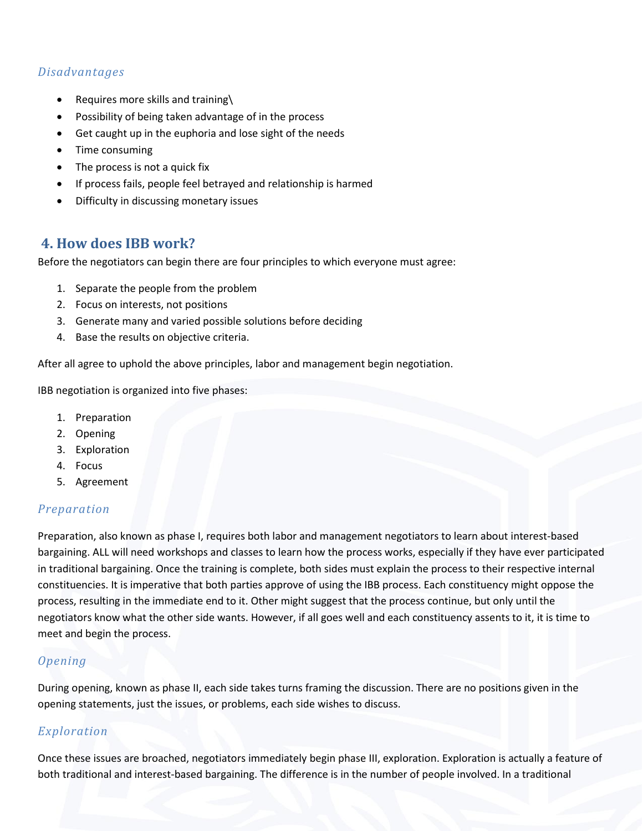### *Disadvantages*

- Requires more skills and training\
- Possibility of being taken advantage of in the process
- Get caught up in the euphoria and lose sight of the needs
- Time consuming
- The process is not a quick fix
- If process fails, people feel betrayed and relationship is harmed
- Difficulty in discussing monetary issues

## **4. How does IBB work?**

Before the negotiators can begin there are four principles to which everyone must agree:

- 1. Separate the people from the problem
- 2. Focus on interests, not positions
- 3. Generate many and varied possible solutions before deciding
- 4. Base the results on objective criteria.

After all agree to uphold the above principles, labor and management begin negotiation.

IBB negotiation is organized into five phases:

- 1. Preparation
- 2. Opening
- 3. Exploration
- 4. Focus
- 5. Agreement

#### *Preparation*

Preparation, also known as phase I, requires both labor and management negotiators to learn about interest-based bargaining. ALL will need workshops and classes to learn how the process works, especially if they have ever participated in traditional bargaining. Once the training is complete, both sides must explain the process to their respective internal constituencies. It is imperative that both parties approve of using the IBB process. Each constituency might oppose the process, resulting in the immediate end to it. Other might suggest that the process continue, but only until the negotiators know what the other side wants. However, if all goes well and each constituency assents to it, it is time to meet and begin the process.

#### *Opening*

During opening, known as phase II, each side takes turns framing the discussion. There are no positions given in the opening statements, just the issues, or problems, each side wishes to discuss.

#### *Exploration*

Once these issues are broached, negotiators immediately begin phase III, exploration. Exploration is actually a feature of both traditional and interest-based bargaining. The difference is in the number of people involved. In a traditional